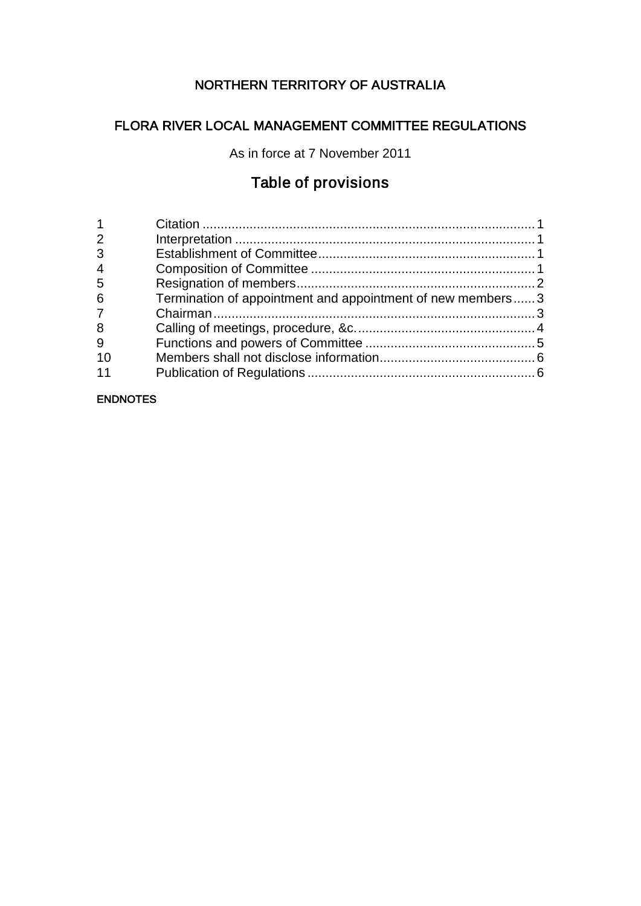# NORTHERN TERRITORY OF AUSTRALIA

# FLORA RIVER LOCAL MANAGEMENT COMMITTEE REGULATIONS

As in force at 7 November 2011

# Table of provisions

| 2              |                                                            |  |
|----------------|------------------------------------------------------------|--|
| 3              |                                                            |  |
| $\overline{4}$ |                                                            |  |
| 5              |                                                            |  |
| 6              | Termination of appointment and appointment of new members3 |  |
| 7              |                                                            |  |
| 8              |                                                            |  |
| 9              |                                                            |  |
| 10             |                                                            |  |
| 11             |                                                            |  |
|                |                                                            |  |

#### ENDNOTES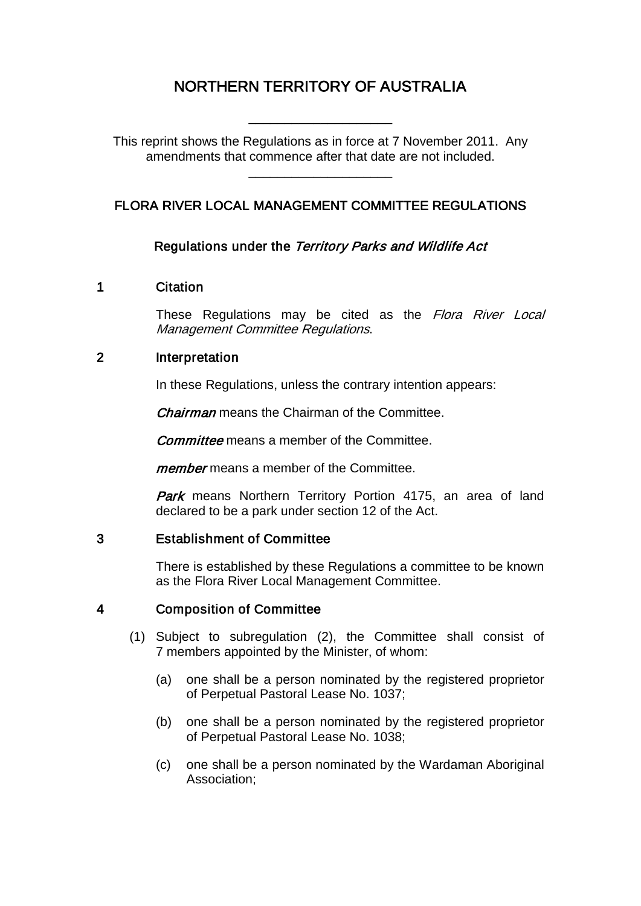# NORTHERN TERRITORY OF AUSTRALIA

\_\_\_\_\_\_\_\_\_\_\_\_\_\_\_\_\_\_\_\_

This reprint shows the Regulations as in force at 7 November 2011. Any amendments that commence after that date are not included.

\_\_\_\_\_\_\_\_\_\_\_\_\_\_\_\_\_\_\_\_

# FLORA RIVER LOCAL MANAGEMENT COMMITTEE REGULATIONS

### Regulations under the Territory Parks and Wildlife Act

#### 1 Citation

These Regulations may be cited as the Flora River Local Management Committee Regulations.

#### 2 Interpretation

In these Regulations, unless the contrary intention appears:

**Chairman** means the Chairman of the Committee.

**Committee** means a member of the Committee.

member means a member of the Committee.

Park means Northern Territory Portion 4175, an area of land declared to be a park under section 12 of the Act.

#### 3 Establishment of Committee

There is established by these Regulations a committee to be known as the Flora River Local Management Committee.

#### 4 Composition of Committee

- (1) Subject to subregulation (2), the Committee shall consist of 7 members appointed by the Minister, of whom:
	- (a) one shall be a person nominated by the registered proprietor of Perpetual Pastoral Lease No. 1037;
	- (b) one shall be a person nominated by the registered proprietor of Perpetual Pastoral Lease No. 1038;
	- (c) one shall be a person nominated by the Wardaman Aboriginal Association;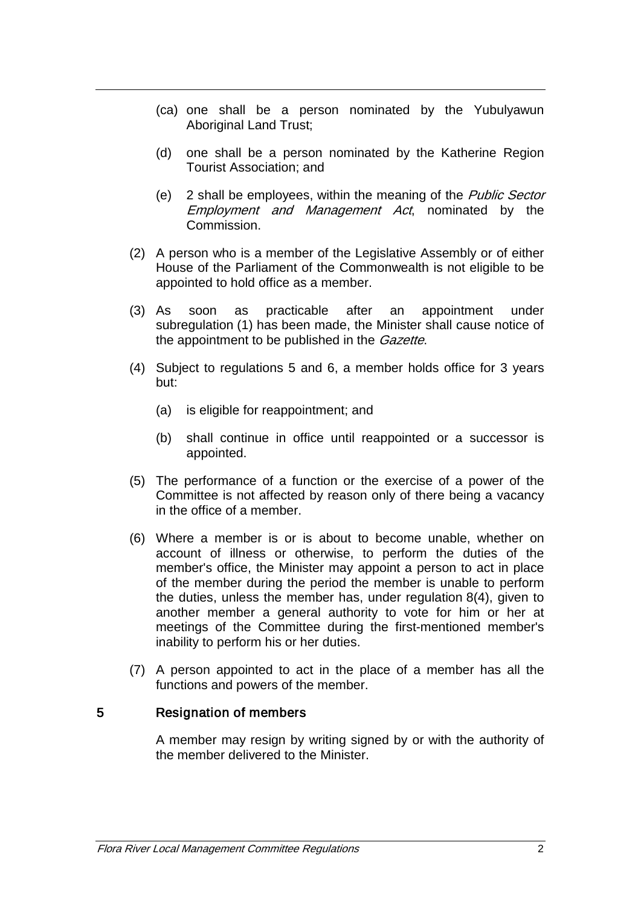- (ca) one shall be a person nominated by the Yubulyawun Aboriginal Land Trust;
- (d) one shall be a person nominated by the Katherine Region Tourist Association; and
- (e) 2 shall be employees, within the meaning of the Public Sector Employment and Management Act, nominated by the Commission.
- (2) A person who is a member of the Legislative Assembly or of either House of the Parliament of the Commonwealth is not eligible to be appointed to hold office as a member.
- (3) As soon as practicable after an appointment under subregulation (1) has been made, the Minister shall cause notice of the appointment to be published in the *Gazette*.
- (4) Subject to regulations 5 and 6, a member holds office for 3 years but:
	- (a) is eligible for reappointment; and
	- (b) shall continue in office until reappointed or a successor is appointed.
- (5) The performance of a function or the exercise of a power of the Committee is not affected by reason only of there being a vacancy in the office of a member.
- (6) Where a member is or is about to become unable, whether on account of illness or otherwise, to perform the duties of the member's office, the Minister may appoint a person to act in place of the member during the period the member is unable to perform the duties, unless the member has, under regulation 8(4), given to another member a general authority to vote for him or her at meetings of the Committee during the first-mentioned member's inability to perform his or her duties.
- (7) A person appointed to act in the place of a member has all the functions and powers of the member.

#### 5 Resignation of members

A member may resign by writing signed by or with the authority of the member delivered to the Minister.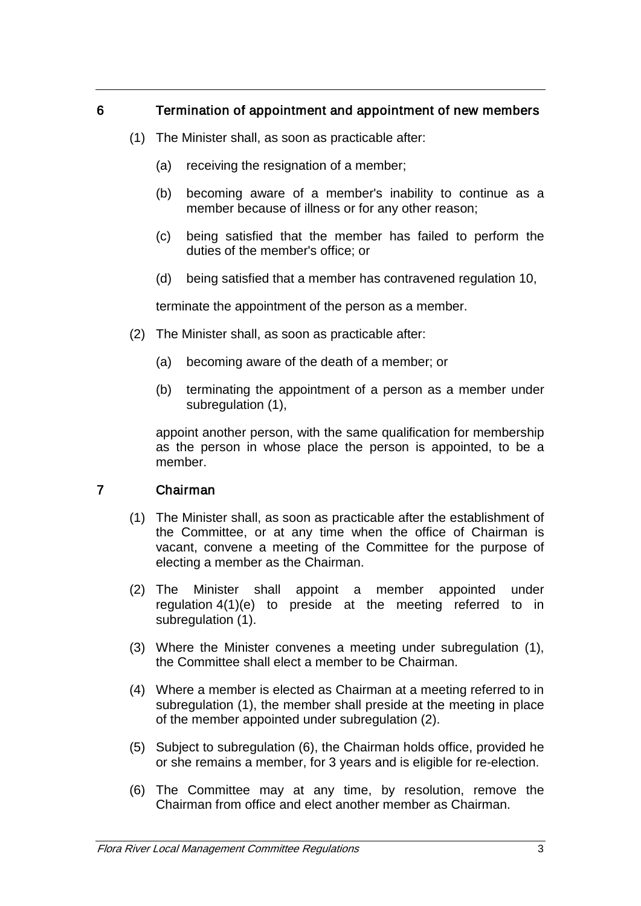# 6 Termination of appointment and appointment of new members

- (1) The Minister shall, as soon as practicable after:
	- (a) receiving the resignation of a member;
	- (b) becoming aware of a member's inability to continue as a member because of illness or for any other reason;
	- (c) being satisfied that the member has failed to perform the duties of the member's office; or
	- (d) being satisfied that a member has contravened regulation 10,

terminate the appointment of the person as a member.

- (2) The Minister shall, as soon as practicable after:
	- (a) becoming aware of the death of a member; or
	- (b) terminating the appointment of a person as a member under subregulation (1),

appoint another person, with the same qualification for membership as the person in whose place the person is appointed, to be a member.

### 7 Chairman

- (1) The Minister shall, as soon as practicable after the establishment of the Committee, or at any time when the office of Chairman is vacant, convene a meeting of the Committee for the purpose of electing a member as the Chairman.
- (2) The Minister shall appoint a member appointed under regulation 4(1)(e) to preside at the meeting referred to in subregulation (1).
- (3) Where the Minister convenes a meeting under subregulation (1), the Committee shall elect a member to be Chairman.
- (4) Where a member is elected as Chairman at a meeting referred to in subregulation (1), the member shall preside at the meeting in place of the member appointed under subregulation (2).
- (5) Subject to subregulation (6), the Chairman holds office, provided he or she remains a member, for 3 years and is eligible for re-election.
- (6) The Committee may at any time, by resolution, remove the Chairman from office and elect another member as Chairman.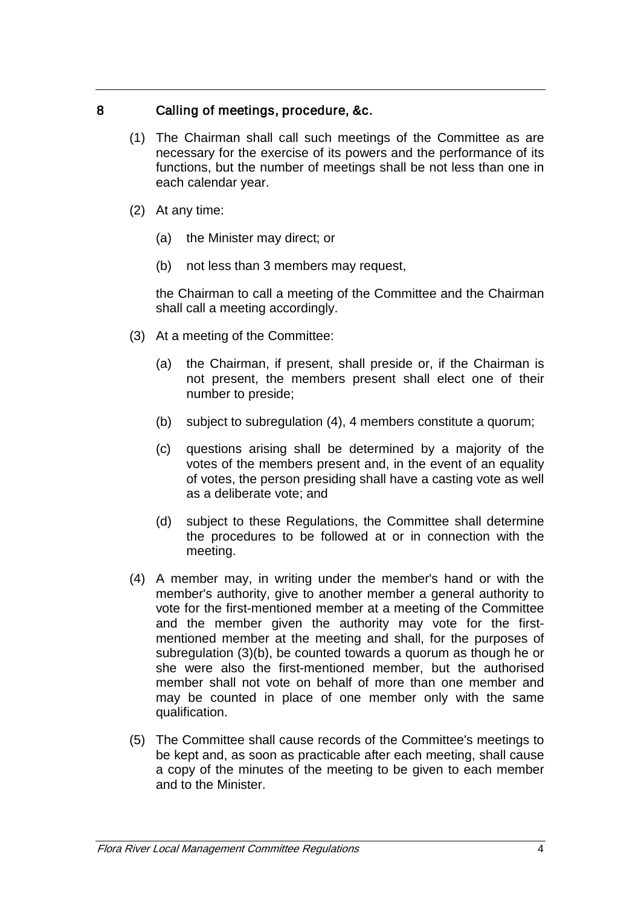# 8 Calling of meetings, procedure, &c.

- (1) The Chairman shall call such meetings of the Committee as are necessary for the exercise of its powers and the performance of its functions, but the number of meetings shall be not less than one in each calendar year.
- (2) At any time:
	- (a) the Minister may direct; or
	- (b) not less than 3 members may request,

the Chairman to call a meeting of the Committee and the Chairman shall call a meeting accordingly.

- (3) At a meeting of the Committee:
	- (a) the Chairman, if present, shall preside or, if the Chairman is not present, the members present shall elect one of their number to preside;
	- (b) subject to subregulation (4), 4 members constitute a quorum;
	- (c) questions arising shall be determined by a majority of the votes of the members present and, in the event of an equality of votes, the person presiding shall have a casting vote as well as a deliberate vote; and
	- (d) subject to these Regulations, the Committee shall determine the procedures to be followed at or in connection with the meeting.
- (4) A member may, in writing under the member's hand or with the member's authority, give to another member a general authority to vote for the first-mentioned member at a meeting of the Committee and the member given the authority may vote for the firstmentioned member at the meeting and shall, for the purposes of subregulation (3)(b), be counted towards a quorum as though he or she were also the first-mentioned member, but the authorised member shall not vote on behalf of more than one member and may be counted in place of one member only with the same qualification.
- (5) The Committee shall cause records of the Committee's meetings to be kept and, as soon as practicable after each meeting, shall cause a copy of the minutes of the meeting to be given to each member and to the Minister.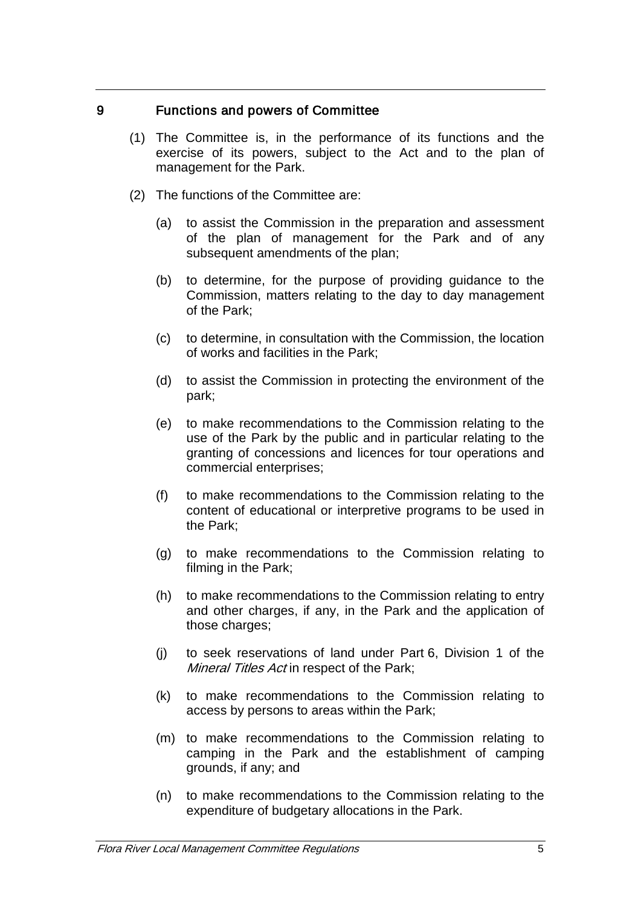## 9 Functions and powers of Committee

- (1) The Committee is, in the performance of its functions and the exercise of its powers, subject to the Act and to the plan of management for the Park.
- (2) The functions of the Committee are:
	- (a) to assist the Commission in the preparation and assessment of the plan of management for the Park and of any subsequent amendments of the plan;
	- (b) to determine, for the purpose of providing guidance to the Commission, matters relating to the day to day management of the Park;
	- (c) to determine, in consultation with the Commission, the location of works and facilities in the Park;
	- (d) to assist the Commission in protecting the environment of the park;
	- (e) to make recommendations to the Commission relating to the use of the Park by the public and in particular relating to the granting of concessions and licences for tour operations and commercial enterprises;
	- (f) to make recommendations to the Commission relating to the content of educational or interpretive programs to be used in the Park;
	- (g) to make recommendations to the Commission relating to filming in the Park;
	- (h) to make recommendations to the Commission relating to entry and other charges, if any, in the Park and the application of those charges;
	- (j) to seek reservations of land under Part 6, Division 1 of the Mineral Titles Act in respect of the Park;
	- (k) to make recommendations to the Commission relating to access by persons to areas within the Park;
	- (m) to make recommendations to the Commission relating to camping in the Park and the establishment of camping grounds, if any; and
	- (n) to make recommendations to the Commission relating to the expenditure of budgetary allocations in the Park.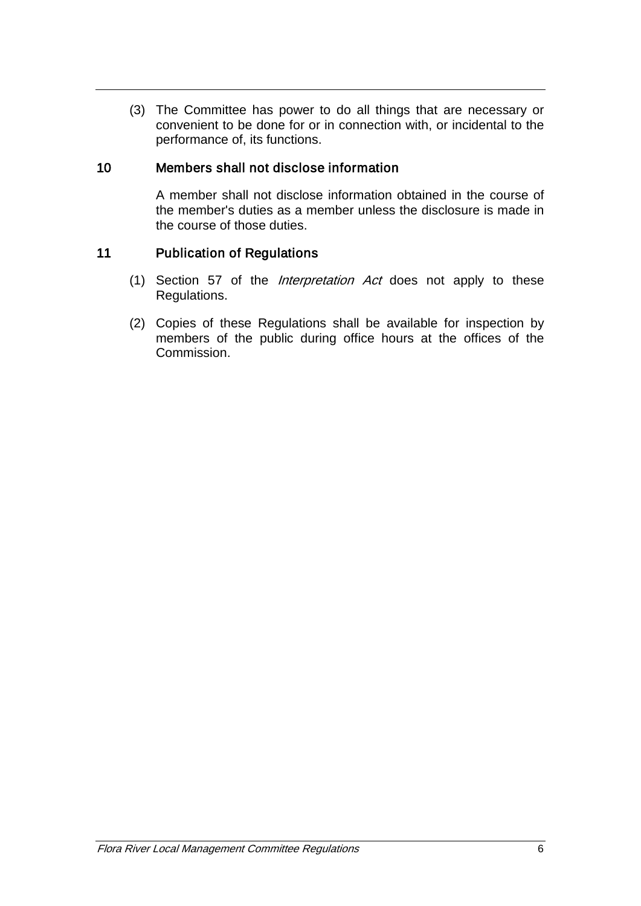(3) The Committee has power to do all things that are necessary or convenient to be done for or in connection with, or incidental to the performance of, its functions.

# 10 Members shall not disclose information

A member shall not disclose information obtained in the course of the member's duties as a member unless the disclosure is made in the course of those duties.

### 11 Publication of Regulations

- (1) Section 57 of the Interpretation Act does not apply to these Regulations.
- (2) Copies of these Regulations shall be available for inspection by members of the public during office hours at the offices of the Commission.